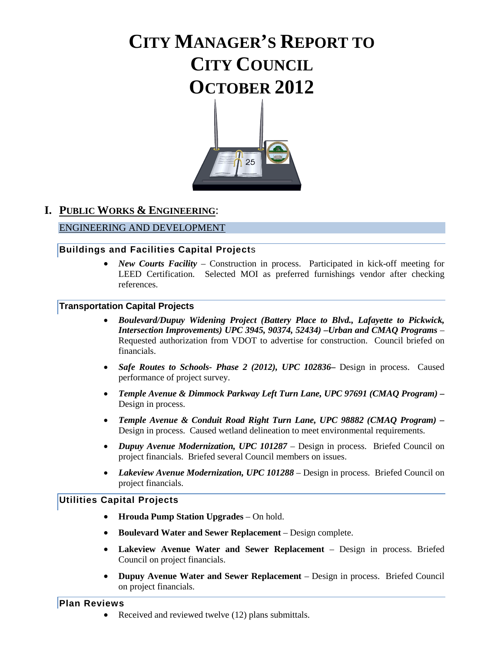# **CITY MANAGER'S REPORT TO CITY COUNCIL OCTOBER 2012**



# **I. PUBLIC WORKS & ENGINEERING**:

### ENGINEERING AND DEVELOPMENT

#### **Buildings and Facilities Capital Project**s

• *New Courts Facility* – Construction in process. Participated in kick-off meeting for LEED Certification. Selected MOI as preferred furnishings vendor after checking references.

#### **Transportation Capital Projects**

- *Boulevard/Dupuy Widening Project (Battery Place to Blvd., Lafayette to Pickwick, Intersection Improvements) UPC 3945, 90374, 52434) –Urban and CMAQ Programs* – Requested authorization from VDOT to advertise for construction. Council briefed on financials.
- *Safe Routes to Schools- Phase 2 (2012), UPC 102836***–** Design in process. Caused performance of project survey.
- *Temple Avenue & Dimmock Parkway Left Turn Lane, UPC 97691 (CMAQ Program) –* Design in process.
- *Temple Avenue & Conduit Road Right Turn Lane, UPC 98882 (CMAQ Program) –* Design in process. Caused wetland delineation to meet environmental requirements.
- *Dupuy Avenue Modernization, UPC 101287*  Design in process. Briefed Council on project financials. Briefed several Council members on issues.
- *Lakeview Avenue Modernization, UPC 101288* Design in process. Briefed Council on project financials.

#### **Utilities Capital Projects**

- **Hrouda Pump Station Upgrades**  On hold.
- **Boulevard Water and Sewer Replacement**  Design complete.
- **Lakeview Avenue Water and Sewer Replacement**  Design in process. Briefed Council on project financials.
- **Dupuy Avenue Water and Sewer Replacement**  Design in process. Briefed Council on project financials.

#### **Plan Reviews**

Received and reviewed twelve (12) plans submittals.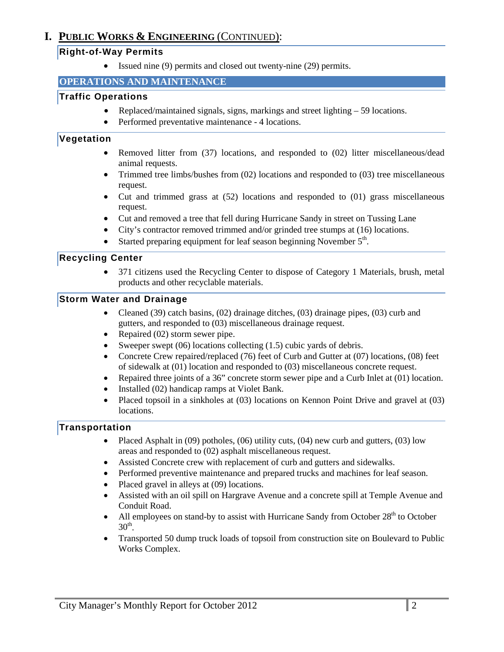# **I. PUBLIC WORKS & ENGINEERING** (CONTINUED):

### **Right-of-Way Permits**

• Issued nine (9) permits and closed out twenty-nine (29) permits.

### **OPERATIONS AND MAINTENANCE**

### **Traffic Operations**

- Replaced/maintained signals, signs, markings and street lighting 59 locations.
- Performed preventative maintenance 4 locations.

### **Vegetation**

- Removed litter from (37) locations, and responded to (02) litter miscellaneous/dead animal requests.
- Trimmed tree limbs/bushes from  $(02)$  locations and responded to  $(03)$  tree miscellaneous request.
- Cut and trimmed grass at (52) locations and responded to (01) grass miscellaneous request.
- Cut and removed a tree that fell during Hurricane Sandy in street on Tussing Lane
- City's contractor removed trimmed and/or grinded tree stumps at (16) locations.
- Started preparing equipment for leaf season beginning November  $5<sup>th</sup>$ .

### **Recycling Center**

• 371 citizens used the Recycling Center to dispose of Category 1 Materials, brush, metal products and other recyclable materials.

### **Storm Water and Drainage**

- Cleaned (39) catch basins, (02) drainage ditches, (03) drainage pipes, (03) curb and gutters, and responded to (03) miscellaneous drainage request.
- Repaired (02) storm sewer pipe.
- Sweeper swept  $(06)$  locations collecting  $(1.5)$  cubic yards of debris.
- Concrete Crew repaired/replaced (76) feet of Curb and Gutter at (07) locations, (08) feet of sidewalk at (01) location and responded to (03) miscellaneous concrete request.
- Repaired three joints of a 36" concrete storm sewer pipe and a Curb Inlet at (01) location.
- Installed (02) handicap ramps at Violet Bank.
- Placed topsoil in a sinkholes at (03) locations on Kennon Point Drive and gravel at (03) locations.

# **Transportation**

- Placed Asphalt in (09) potholes, (06) utility cuts, (04) new curb and gutters, (03) low areas and responded to (02) asphalt miscellaneous request.
- Assisted Concrete crew with replacement of curb and gutters and sidewalks.
- Performed preventive maintenance and prepared trucks and machines for leaf season.
- Placed gravel in alleys at (09) locations.
- Assisted with an oil spill on Hargrave Avenue and a concrete spill at Temple Avenue and Conduit Road.
- All employees on stand-by to assist with Hurricane Sandy from October  $28<sup>th</sup>$  to October  $30<sup>th</sup>$ .
- Transported 50 dump truck loads of topsoil from construction site on Boulevard to Public Works Complex.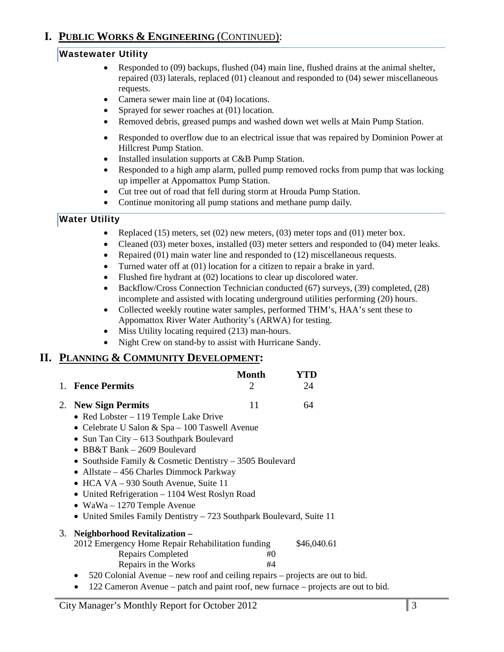# **I. PUBLIC WORKS & ENGINEERING** (CONTINUED):

# **Wastewater Utility**

- Responded to (09) backups, flushed (04) main line, flushed drains at the animal shelter, repaired (03) laterals, replaced (01) cleanout and responded to (04) sewer miscellaneous requests.
- Camera sewer main line at (04) locations.
- Sprayed for sewer roaches at (01) location.
- Removed debris, greased pumps and washed down wet wells at Main Pump Station.
- Responded to overflow due to an electrical issue that was repaired by Dominion Power at Hillcrest Pump Station.
- Installed insulation supports at C&B Pump Station.
- Responded to a high amp alarm, pulled pump removed rocks from pump that was locking up impeller at Appomattox Pump Station.
- Cut tree out of road that fell during storm at Hrouda Pump Station.
- Continue monitoring all pump stations and methane pump daily*.*

# **Water Utility**

- Replaced (15) meters, set (02) new meters, (03) meter tops and (01) meter box.
- Cleaned (03) meter boxes, installed (03) meter setters and responded to (04) meter leaks.
- Repaired (01) main water line and responded to (12) miscellaneous requests.
- Turned water off at (01) location for a citizen to repair a brake in yard.
- Flushed fire hydrant at (02) locations to clear up discolored water.
- Backflow/Cross Connection Technician conducted (67) surveys, (39) completed, (28) incomplete and assisted with locating underground utilities performing (20) hours.
- Collected weekly routine water samples, performed THM's, HAA's sent these to Appomattox River Water Authority's (ARWA) for testing.
- Miss Utility locating required (213) man-hours.
- Night Crew on stand-by to assist with Hurricane Sandy.

# **II. PLANNING & COMMUNITY DEVELOPMENT:**

|                     | Month | YTD |
|---------------------|-------|-----|
| 1. Fence Permits    |       | 24  |
| 2. New Sign Permits |       | 64  |

- Red Lobster 119 Temple Lake Drive
- Celebrate U Salon & Spa 100 Taswell Avenue
- Sun Tan City 613 Southpark Boulevard
- BB&T Bank 2609 Boulevard
- Southside Family & Cosmetic Dentistry 3505 Boulevard
- Allstate 456 Charles Dimmock Parkway
- HCA VA 930 South Avenue, Suite 11
- United Refrigeration 1104 West Roslyn Road
- WaWa 1270 Temple Avenue
- United Smiles Family Dentistry 723 Southpark Boulevard, Suite 11

#### 3. **Neighborhood Revitalization –** 2012 Emergency Home Repair Rehabilitation funding \$46,040.61

- Repairs Completed #0 Repairs in the Works #4
- 520 Colonial Avenue new roof and ceiling repairs projects are out to bid.
- 122 Cameron Avenue patch and paint roof, new furnace projects are out to bid.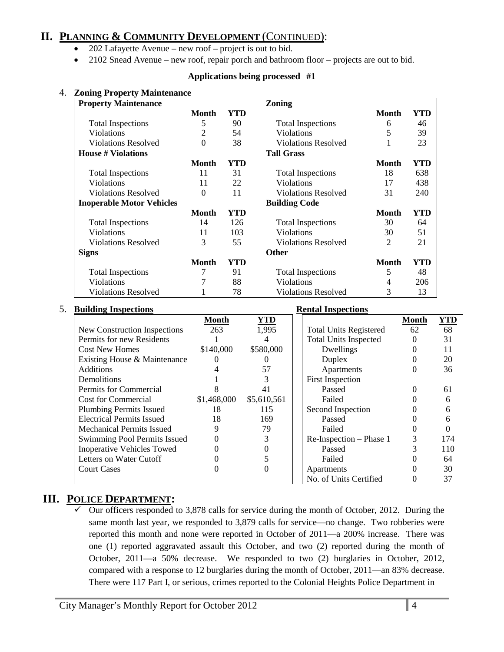# **II. PLANNING & COMMUNITY DEVELOPMENT** (CONTINUED):

- 202 Lafayette Avenue new roof project is out to bid.
- 2102 Snead Avenue new roof, repair porch and bathroom floor projects are out to bid.

#### **Applications being processed #1**

| <b>Property Maintenance</b>      |                  |     | <b>Zoning</b>              |                |     |
|----------------------------------|------------------|-----|----------------------------|----------------|-----|
|                                  | <b>Month</b>     | YTD |                            | <b>Month</b>   | YTD |
| <b>Total Inspections</b>         | 5                | 90  | <b>Total Inspections</b>   | 6              | 46  |
| <b>Violations</b>                | $\overline{2}$   | 54  | Violations                 | 5              | 39  |
| <b>Violations Resolved</b>       | $\boldsymbol{0}$ | 38  | <b>Violations Resolved</b> |                | 23  |
| <b>House # Violations</b>        |                  |     | <b>Tall Grass</b>          |                |     |
|                                  | <b>Month</b>     | YTD |                            | <b>Month</b>   | YTD |
| <b>Total Inspections</b>         | 11               | 31  | <b>Total Inspections</b>   | 18             | 638 |
| <b>Violations</b>                | 11               | 22  | Violations                 | 17             | 438 |
| <b>Violations Resolved</b>       | $\boldsymbol{0}$ | 11  | <b>Violations Resolved</b> | 31             | 240 |
| <b>Inoperable Motor Vehicles</b> |                  |     | <b>Building Code</b>       |                |     |
|                                  | Month            | YTD |                            | <b>Month</b>   | YTD |
| <b>Total Inspections</b>         | 14               | 126 | <b>Total Inspections</b>   | 30             | 64  |
| <b>Violations</b>                | 11               | 103 | Violations                 | 30             | 51  |
| <b>Violations Resolved</b>       | 3                | 55  | <b>Violations Resolved</b> | $\overline{2}$ | 21  |
| <b>Signs</b>                     |                  |     | <b>Other</b>               |                |     |
|                                  | <b>Month</b>     | YTD |                            | <b>Month</b>   | YTD |
| <b>Total Inspections</b>         | 7                | 91  | <b>Total Inspections</b>   | 5              | 48  |
| Violations                       | 7                | 88  | Violations                 | 4              | 206 |
| <b>Violations Resolved</b>       |                  | 78  | <b>Violations Resolved</b> | 3              | 13  |

#### 5. **Building Inspections Rental Inspections**

|                                   | Month       | YTD         |                               | <b>Month</b> | YTD |
|-----------------------------------|-------------|-------------|-------------------------------|--------------|-----|
| New Construction Inspections      | 263         | 1,995       | <b>Total Units Registered</b> | 62           | 68  |
| Permits for new Residents         |             |             | <b>Total Units Inspected</b>  |              | 31  |
| <b>Cost New Homes</b>             | \$140,000   | \$580,000   | Dwellings                     |              |     |
| Existing House & Maintenance      |             |             | Duplex                        |              | 20  |
| <b>Additions</b>                  |             | 57          | Apartments                    |              | 36  |
| Demolitions                       |             |             | <b>First Inspection</b>       |              |     |
| Permits for Commercial            |             | 41          | Passed                        |              | 61  |
| <b>Cost for Commercial</b>        | \$1,468,000 | \$5,610,561 | Failed                        |              |     |
| <b>Plumbing Permits Issued</b>    | 18          | 115         | Second Inspection             |              |     |
| <b>Electrical Permits Issued</b>  | 18          | 169         | Passed                        |              |     |
| <b>Mechanical Permits Issued</b>  |             | 79          | Failed                        |              |     |
| Swimming Pool Permits Issued      |             |             | Re-Inspection - Phase 1       |              | 174 |
| <b>Inoperative Vehicles Towed</b> |             |             | Passed                        |              | 110 |
| Letters on Water Cutoff           |             |             | Failed                        |              | 64  |
| <b>Court Cases</b>                |             |             | Apartments                    |              | 30  |
|                                   |             |             | No. of Units Certified        |              |     |

# **III. POLICE DEPARTMENT:**

 Our officers responded to 3,878 calls for service during the month of October, 2012. During the same month last year, we responded to 3,879 calls for service—no change. Two robberies were reported this month and none were reported in October of 2011—a 200% increase. There was one (1) reported aggravated assault this October, and two (2) reported during the month of October, 2011—a 50% decrease. We responded to two (2) burglaries in October, 2012, compared with a response to 12 burglaries during the month of October, 2011—an 83% decrease. There were 117 Part I, or serious, crimes reported to the Colonial Heights Police Department in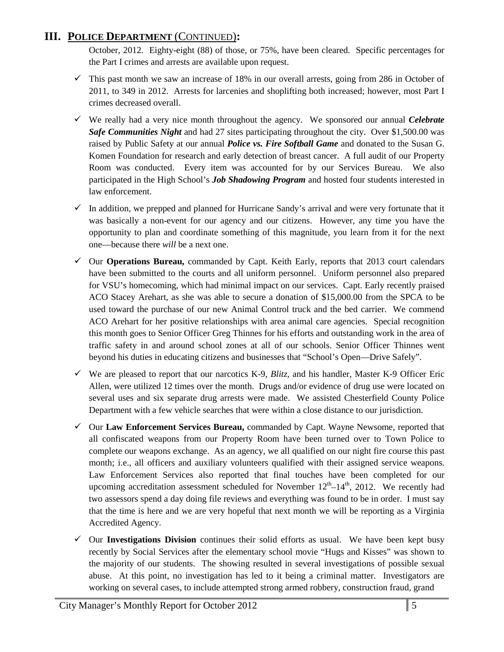# **III. POLICE DEPARTMENT** (CONTINUED)**:**

October, 2012. Eighty-eight (88) of those, or 75%, have been cleared. Specific percentages for the Part I crimes and arrests are available upon request.

- $\checkmark$  This past month we saw an increase of 18% in our overall arrests, going from 286 in October of 2011, to 349 in 2012. Arrests for larcenies and shoplifting both increased; however, most Part I crimes decreased overall.
- We really had a very nice month throughout the agency. We sponsored our annual *Celebrate Safe Communities Night* and had 27 sites participating throughout the city. Over \$1,500.00 was raised by Public Safety at our annual *Police vs. Fire Softball Game* and donated to the Susan G. Komen Foundation for research and early detection of breast cancer. A full audit of our Property Room was conducted. Every item was accounted for by our Services Bureau. We also participated in the High School's *Job Shadowing Program* and hosted four students interested in law enforcement.
- $\checkmark$  In addition, we prepped and planned for Hurricane Sandy's arrival and were very fortunate that it was basically a non-event for our agency and our citizens. However, any time you have the opportunity to plan and coordinate something of this magnitude, you learn from it for the next one—because there *will* be a next one.
- Our **Operations Bureau,** commanded by Capt. Keith Early, reports that 2013 court calendars have been submitted to the courts and all uniform personnel. Uniform personnel also prepared for VSU's homecoming, which had minimal impact on our services. Capt. Early recently praised ACO Stacey Arehart, as she was able to secure a donation of \$15,000.00 from the SPCA to be used toward the purchase of our new Animal Control truck and the bed carrier. We commend ACO Arehart for her positive relationships with area animal care agencies. Special recognition this month goes to Senior Officer Greg Thinnes for his efforts and outstanding work in the area of traffic safety in and around school zones at all of our schools. Senior Officer Thinnes went beyond his duties in educating citizens and businesses that "School's Open—Drive Safely".
- $\checkmark$  We are pleased to report that our narcotics K-9, *Blitz*, and his handler, Master K-9 Officer Eric Allen, were utilized 12 times over the month. Drugs and/or evidence of drug use were located on several uses and six separate drug arrests were made. We assisted Chesterfield County Police Department with a few vehicle searches that were within a close distance to our jurisdiction.
- Our **Law Enforcement Services Bureau,** commanded by Capt. Wayne Newsome, reported that all confiscated weapons from our Property Room have been turned over to Town Police to complete our weapons exchange. As an agency, we all qualified on our night fire course this past month; i.e., all officers and auxiliary volunteers qualified with their assigned service weapons. Law Enforcement Services also reported that final touches have been completed for our upcoming accreditation assessment scheduled for November  $12<sup>th</sup>–14<sup>th</sup>$ , 2012. We recently had two assessors spend a day doing file reviews and everything was found to be in order. I must say that the time is here and we are very hopeful that next month we will be reporting as a Virginia Accredited Agency.
- $\checkmark$  Our **Investigations Division** continues their solid efforts as usual. We have been kept busy recently by Social Services after the elementary school movie "Hugs and Kisses" was shown to the majority of our students. The showing resulted in several investigations of possible sexual abuse. At this point, no investigation has led to it being a criminal matter. Investigators are working on several cases, to include attempted strong armed robbery, construction fraud, grand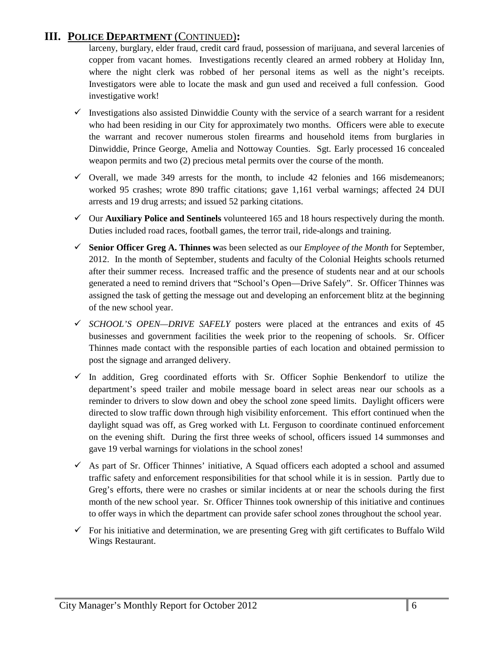# **III. POLICE DEPARTMENT** (CONTINUED)**:**

larceny, burglary, elder fraud, credit card fraud, possession of marijuana, and several larcenies of copper from vacant homes. Investigations recently cleared an armed robbery at Holiday Inn, where the night clerk was robbed of her personal items as well as the night's receipts. Investigators were able to locate the mask and gun used and received a full confession. Good investigative work!

- $\checkmark$  Investigations also assisted Dinwiddie County with the service of a search warrant for a resident who had been residing in our City for approximately two months. Officers were able to execute the warrant and recover numerous stolen firearms and household items from burglaries in Dinwiddie, Prince George, Amelia and Nottoway Counties. Sgt. Early processed 16 concealed weapon permits and two (2) precious metal permits over the course of the month.
- $\checkmark$  Overall, we made 349 arrests for the month, to include 42 felonies and 166 misdemeanors; worked 95 crashes; wrote 890 traffic citations; gave 1,161 verbal warnings; affected 24 DUI arrests and 19 drug arrests; and issued 52 parking citations.
- Our **Auxiliary Police and Sentinels** volunteered 165 and 18 hours respectively during the month. Duties included road races, football games, the terror trail, ride-alongs and training.
- **Senior Officer Greg A. Thinnes w**as been selected as our *Employee of the Month* for September, 2012. In the month of September, students and faculty of the Colonial Heights schools returned after their summer recess. Increased traffic and the presence of students near and at our schools generated a need to remind drivers that "School's Open—Drive Safely". Sr. Officer Thinnes was assigned the task of getting the message out and developing an enforcement blitz at the beginning of the new school year.
- *SCHOOL'S OPEN—DRIVE SAFELY* posters were placed at the entrances and exits of 45 businesses and government facilities the week prior to the reopening of schools. Sr. Officer Thinnes made contact with the responsible parties of each location and obtained permission to post the signage and arranged delivery.
- $\checkmark$  In addition, Greg coordinated efforts with Sr. Officer Sophie Benkendorf to utilize the department's speed trailer and mobile message board in select areas near our schools as a reminder to drivers to slow down and obey the school zone speed limits. Daylight officers were directed to slow traffic down through high visibility enforcement. This effort continued when the daylight squad was off, as Greg worked with Lt. Ferguson to coordinate continued enforcement on the evening shift. During the first three weeks of school, officers issued 14 summonses and gave 19 verbal warnings for violations in the school zones!
- $\checkmark$  As part of Sr. Officer Thinnes' initiative, A Squad officers each adopted a school and assumed traffic safety and enforcement responsibilities for that school while it is in session. Partly due to Greg's efforts, there were no crashes or similar incidents at or near the schools during the first month of the new school year. Sr. Officer Thinnes took ownership of this initiative and continues to offer ways in which the department can provide safer school zones throughout the school year.
- $\checkmark$  For his initiative and determination, we are presenting Greg with gift certificates to Buffalo Wild Wings Restaurant.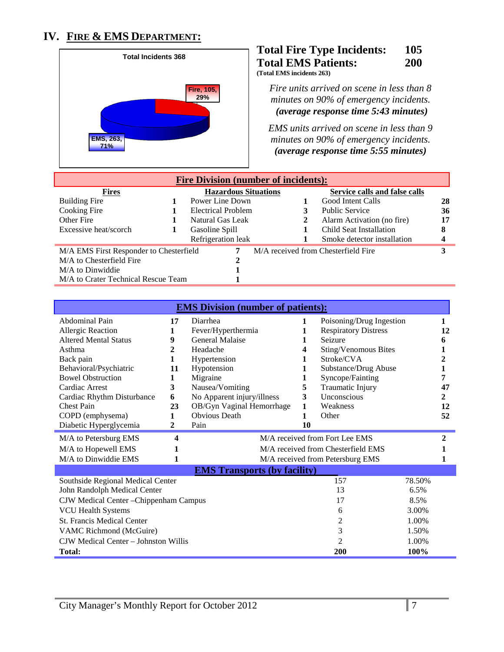# **IV. FIRE & EMS DEPARTMENT:**



#### **Total Fire Type Incidents: 105 Total EMS Patients: 200 (Total EMS incidents 263)**

*Fire units arrived on scene in less than 8 minutes on 90% of emergency incidents. (average response time 5:43 minutes)* 

*EMS units arrived on scene in less than 9 minutes on 90% of emergency incidents. <sup>U</sup>(average response time 5:55 minutes)*

| <b>Fire Division (number of incidents):</b> |  |                             |  |  |                                     |    |
|---------------------------------------------|--|-----------------------------|--|--|-------------------------------------|----|
| <b>Fires</b>                                |  | <b>Hazardous Situations</b> |  |  | Service calls and false calls       |    |
| <b>Building Fire</b>                        |  | Power Line Down             |  |  | Good Intent Calls                   | 28 |
| Cooking Fire                                |  | <b>Electrical Problem</b>   |  |  | <b>Public Service</b>               | 36 |
| Other Fire                                  |  | Natural Gas Leak            |  |  | Alarm Activation (no fire)          | 17 |
| Excessive heat/scorch                       |  | Gasoline Spill              |  |  | Child Seat Installation             | 8  |
|                                             |  | Refrigeration leak          |  |  | Smoke detector installation         |    |
| M/A EMS First Responder to Chesterfield     |  | 7                           |  |  | M/A received from Chesterfield Fire |    |
| M/A to Chesterfield Fire                    |  | 2                           |  |  |                                     |    |
| M/A to Dinwiddie                            |  |                             |  |  |                                     |    |
| M/A to Crater Technical Rescue Team         |  |                             |  |  |                                     |    |

| <b>EMS Division (number of patients):</b> |              |                                     |       |                                    |        |    |
|-------------------------------------------|--------------|-------------------------------------|-------|------------------------------------|--------|----|
| Abdominal Pain                            | 17           | Diarrhea                            | 1     | Poisoning/Drug Ingestion           |        | 1  |
| Allergic Reaction                         |              | Fever/Hyperthermia                  |       | <b>Respiratory Distress</b>        |        | 12 |
| <b>Altered Mental Status</b>              | 9            | <b>General Malaise</b>              | 1     | Seizure                            |        | 6  |
| Asthma                                    | $\mathbf{2}$ | Headache                            | 4     | Sting/Venomous Bites               |        |    |
| Back pain                                 | 1            | Hypertension                        | 1     | Stroke/CVA                         |        |    |
| Behavioral/Psychiatric                    | 11           | Hypotension                         |       | Substance/Drug Abuse               |        |    |
| <b>Bowel Obstruction</b>                  | 1            | Migraine                            | 1     | Syncope/Fainting                   |        |    |
| Cardiac Arrest                            | 3            | Nausea/Vomiting                     | 5     | Traumatic Injury                   |        | 47 |
| Cardiac Rhythm Disturbance                | 6            | No Apparent injury/illness          | 3     | Unconscious                        |        | 2  |
| <b>Chest Pain</b>                         | 23           | OB/Gyn Vaginal Hemorrhage           | 1     | Weakness                           |        | 12 |
| COPD (emphysema)                          | 1            | <b>Obvious Death</b>                | 1     | Other                              |        | 52 |
| Diabetic Hyperglycemia                    | $\mathbf{2}$ | Pain                                | 10    |                                    |        |    |
| M/A to Petersburg EMS                     | 4            |                                     |       | M/A received from Fort Lee EMS     |        | 2  |
| M/A to Hopewell EMS                       |              |                                     |       | M/A received from Chesterfield EMS |        |    |
| M/A to Dinwiddie EMS                      | 1            |                                     |       | M/A received from Petersburg EMS   |        |    |
|                                           |              | <b>EMS Transports (by facility)</b> |       |                                    |        |    |
| Southside Regional Medical Center         |              |                                     |       | 157                                | 78.50% |    |
| John Randolph Medical Center              |              |                                     |       | 13                                 | 6.5%   |    |
| CJW Medical Center - Chippenham Campus    |              |                                     |       | 17                                 | 8.5%   |    |
| <b>VCU Health Systems</b>                 |              |                                     |       | 6                                  | 3.00%  |    |
| <b>St. Francis Medical Center</b>         |              |                                     |       | 2                                  | 1.00%  |    |
| 3<br>VAMC Richmond (McGuire)              |              |                                     | 1.50% |                                    |        |    |
| CJW Medical Center – Johnston Willis      |              |                                     |       | 2                                  | 1.00%  |    |
| Total:                                    |              |                                     |       | 200                                | 100%   |    |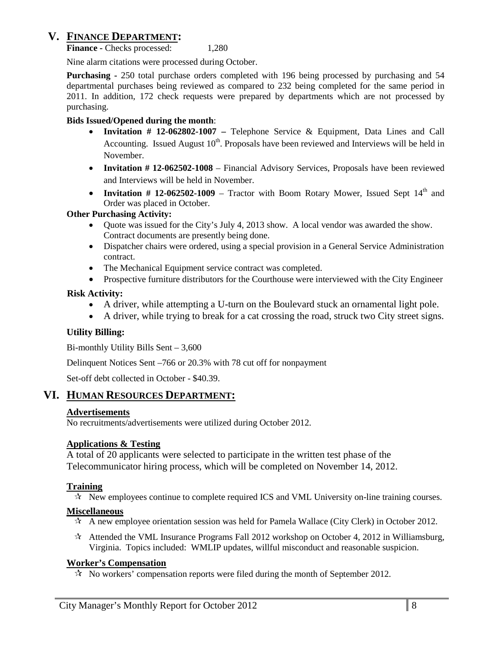# **V. FINANCE DEPARTMENT:**

**Finance -** Checks processed: 1,280

Nine alarm citations were processed during October.

**Purchasing -** 250 total purchase orders completed with 196 being processed by purchasing and 54 departmental purchases being reviewed as compared to 232 being completed for the same period in 2011. In addition, 172 check requests were prepared by departments which are not processed by purchasing.

#### **Bids Issued/Opened during the month**:

- **Invitation # 12-062802-1007 –** Telephone Service & Equipment, Data Lines and Call Accounting. Issued August  $10<sup>th</sup>$ . Proposals have been reviewed and Interviews will be held in November.
- **Invitation # 12-062502-1008** Financial Advisory Services, Proposals have been reviewed and Interviews will be held in November.
- **Invitation # 12-062502-1009** Tractor with Boom Rotary Mower, Issued Sept  $14<sup>th</sup>$  and Order was placed in October.

#### **Other Purchasing Activity:**

- Quote was issued for the City's July 4, 2013 show. A local vendor was awarded the show. Contract documents are presently being done.
- Dispatcher chairs were ordered, using a special provision in a General Service Administration contract.
- The Mechanical Equipment service contract was completed.
- Prospective furniture distributors for the Courthouse were interviewed with the City Engineer

#### **Risk Activity:**

- A driver, while attempting a U-turn on the Boulevard stuck an ornamental light pole.
- A driver, while trying to break for a cat crossing the road, struck two City street signs.

#### **Utility Billing:**

Bi-monthly Utility Bills Sent – 3,600

Delinquent Notices Sent –766 or 20.3% with 78 cut off for nonpayment

Set-off debt collected in October - \$40.39.

### **VI. HUMAN RESOURCES DEPARTMENT:**

#### **Advertisements**

No recruitments/advertisements were utilized during October 2012.

### **Applications & Testing**

A total of 20 applicants were selected to participate in the written test phase of the Telecommunicator hiring process, which will be completed on November 14, 2012.

### **Training**

 $\star$  New employees continue to complete required ICS and VML University on-line training courses.

#### **Miscellaneous**

- $\star$  A new employee orientation session was held for Pamela Wallace (City Clerk) in October 2012.
- $\star$  Attended the VML Insurance Programs Fall 2012 workshop on October 4, 2012 in Williamsburg, Virginia. Topics included: WMLIP updates, willful misconduct and reasonable suspicion.

#### **Worker's Compensation**

 $\mathcal{R}$  No workers' compensation reports were filed during the month of September 2012.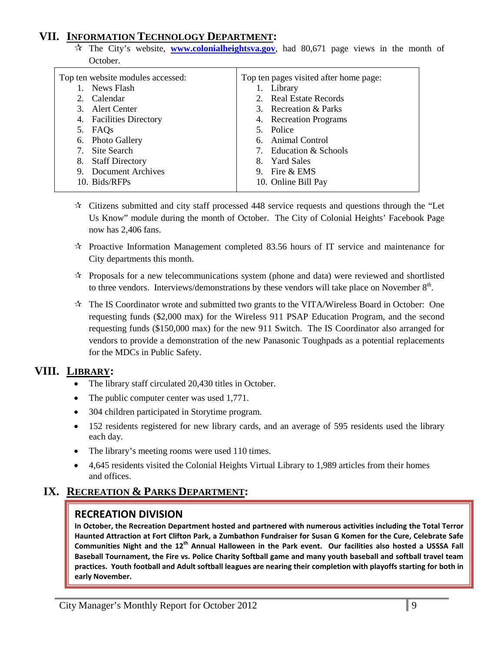# **VII. INFORMATION TECHNOLOGY DEPARTMENT:**

 $\hat{x}$  The City's website, **[www.colonialheightsva.gov](http://www.colonialheightsva.gov/)**, had 80,671 page views in the month of October.

| Top ten website modules accessed: | Top ten pages visited after home page: |
|-----------------------------------|----------------------------------------|
| News Flash                        | 1. Library                             |
| Calendar<br>2.                    | 2. Real Estate Records                 |
| 3. Alert Center                   | 3. Recreation & Parks                  |
| 4. Facilities Directory           | 4. Recreation Programs                 |
| 5. FAQs                           | 5. Police                              |
| 6. Photo Gallery                  | 6. Animal Control                      |
| 7. Site Search                    | 7. Education & Schools                 |
| 8. Staff Directory                | 8. Yard Sales                          |
| 9. Document Archives              | 9. Fire & EMS                          |
| 10. Bids/RFPs                     | 10. Online Bill Pay                    |
|                                   |                                        |

- $\star$  Citizens submitted and city staff processed 448 service requests and questions through the "Let Us Know" module during the month of October. The City of Colonial Heights' Facebook Page now has 2,406 fans.
- $\mathcal{R}$  Proactive Information Management completed 83.56 hours of IT service and maintenance for City departments this month.
- $\star$  Proposals for a new telecommunications system (phone and data) were reviewed and shortlisted to three vendors. Interviews/demonstrations by these vendors will take place on November  $8<sup>th</sup>$ .
- $\mathcal{R}$  The IS Coordinator wrote and submitted two grants to the VITA/Wireless Board in October: One requesting funds (\$2,000 max) for the Wireless 911 PSAP Education Program, and the second requesting funds (\$150,000 max) for the new 911 Switch. The IS Coordinator also arranged for vendors to provide a demonstration of the new Panasonic Toughpads as a potential replacements for the MDCs in Public Safety.

# **VIII. LIBRARY:**

- The library staff circulated 20,430 titles in October.
- The public computer center was used 1,771.
- 304 children participated in Storytime program.
- 152 residents registered for new library cards, and an average of 595 residents used the library each day.
- The library's meeting rooms were used 110 times.
- 4,645 residents visited the Colonial Heights Virtual Library to 1,989 articles from their homes and offices.

# **IX. RECREATION & PARKS DEPARTMENT:**

### **RECREATION DIVISION**

**In October, the Recreation Department hosted and partnered with numerous activities including the Total Terror Haunted Attraction at Fort Clifton Park, a Zumbathon Fundraiser for Susan G Komen for the Cure, Celebrate Safe Communities Night and the 12th Annual Halloween in the Park event. Our facilities also hosted a USSSA Fall Baseball Tournament, the Fire vs. Police Charity Softball game and many youth baseball and softball travel team practices. Youth football and Adult softball leagues are nearing their completion with playoffs starting for both in early November.**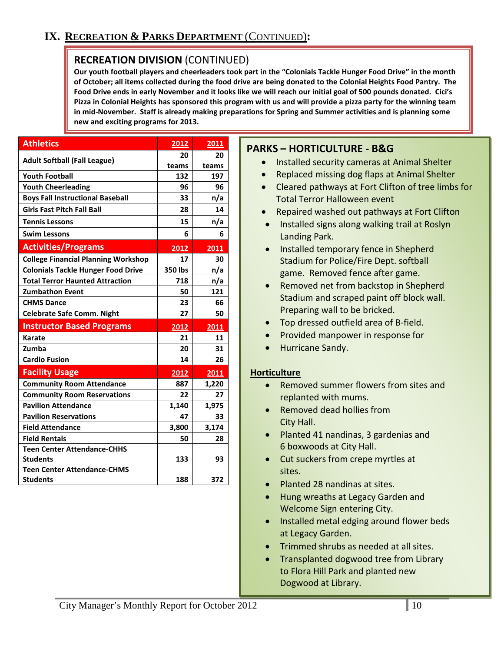# **RECREATION DIVISION** (CONTINUED)

**Our youth football players and cheerleaders took part in the "Colonials Tackle Hunger Food Drive" in the month of October; all items collected during the food drive are being donated to the Colonial Heights Food Pantry. The Food Drive ends in early November and it looks like we will reach our initial goal of 500 pounds donated. Cici's Pizza in Colonial Heights has sponsored this program with us and will provide a pizza party for the winning team in mid-November. Staff is already making preparations for Spring and Summer activities and is planning some new and exciting programs for 2013.**

| <b>Athletics</b>                           | 2012    | 2011  |
|--------------------------------------------|---------|-------|
|                                            | 20      | 20    |
| <b>Adult Softball (Fall League)</b>        | teams   | teams |
| <b>Youth Football</b>                      | 132     | 197   |
| <b>Youth Cheerleading</b>                  | 96      | 96    |
| <b>Boys Fall Instructional Baseball</b>    | 33      | n/a   |
| <b>Girls Fast Pitch Fall Ball</b>          | 28      | 14    |
| <b>Tennis Lessons</b>                      | 15      | n/a   |
| <b>Swim Lessons</b>                        | 6       | 6     |
| <b>Activities/Programs</b>                 | 2012    | 2011  |
| <b>College Financial Planning Workshop</b> | 17      | 30    |
| <b>Colonials Tackle Hunger Food Drive</b>  | 350 lbs | n/a   |
| <b>Total Terror Haunted Attraction</b>     | 718     | n/a   |
| <b>Zumbathon Event</b>                     | 50      | 121   |
| <b>CHMS Dance</b>                          | 23      | 66    |
| <b>Celebrate Safe Comm. Night</b>          | 27      | 50    |
| <b>Instructor Based Programs</b>           | 2012    | 2011  |
| <b>Karate</b>                              | 21      | 11    |
| Zumba                                      | 20      | 31    |
| <b>Cardio Fusion</b>                       | 14      | 26    |
| <b>Facility Usage</b>                      | 2012    | 2011  |
| <b>Community Room Attendance</b>           | 887     | 1,220 |
| <b>Community Room Reservations</b>         | 22      | 27    |
| <b>Pavilion Attendance</b>                 | 1,140   | 1,975 |
| <b>Pavilion Reservations</b>               | 47      | 33    |
| <b>Field Attendance</b>                    | 3,800   | 3,174 |
| <b>Field Rentals</b>                       | 50      | 28    |
| <b>Teen Center Attendance-CHHS</b>         |         |       |
| <b>Students</b>                            | 133     | 93    |
| <b>Teen Center Attendance-CHMS</b>         |         |       |
| <b>Students</b>                            | 188     | 372   |

# **PARKS – HORTICULTURE - B&G**

- Installed security cameras at Animal Shelter
- Replaced missing dog flaps at Animal Shelter
- Cleared pathways at Fort Clifton of tree limbs for Total Terror Halloween event
- Repaired washed out pathways at Fort Clifton
- Installed signs along walking trail at Roslyn Landing Park.
- Installed temporary fence in Shepherd Stadium for Police/Fire Dept. softball game. Removed fence after game.
- Removed net from backstop in Shepherd Stadium and scraped paint off block wall. Preparing wall to be bricked.
- Top dressed outfield area of B-field.
- Provided manpower in response for
- Hurricane Sandy.

#### **Horticulture**

- Removed summer flowers from sites and replanted with mums.
- Removed dead hollies from City Hall.
- Planted 41 nandinas, 3 gardenias and 6 boxwoods at City Hall.
- Cut suckers from crepe myrtles at sites.
- Planted 28 nandinas at sites.
- Hung wreaths at Legacy Garden and Welcome Sign entering City.
- Installed metal edging around flower beds at Legacy Garden.
- Trimmed shrubs as needed at all sites.
- Transplanted dogwood tree from Library to Flora Hill Park and planted new Dogwood at Library.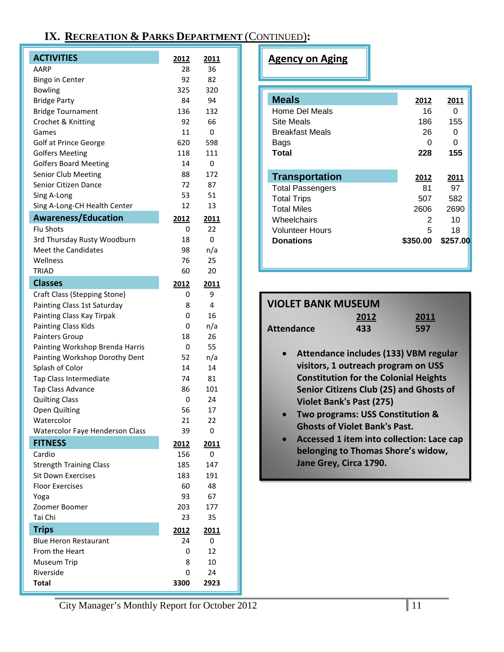# **IX. RECREATION & PARKS DEPARTMENT** (CONTINUED)**:**

| <b>ACTIVITIES</b>                                           | 2012                | 2011      |
|-------------------------------------------------------------|---------------------|-----------|
| AARP                                                        | 28                  | 36        |
| <b>Bingo in Center</b>                                      | 92.                 | 82        |
| <b>Bowling</b>                                              | 325                 | 320       |
| <b>Bridge Party</b>                                         | 84                  | 94        |
| <b>Bridge Tournament</b>                                    | 136                 | 132       |
| Crochet & Knitting                                          | 92                  | 66        |
| Games                                                       | 11                  | 0         |
| Golf at Prince George                                       | 620                 | 598       |
| <b>Golfers Meeting</b>                                      | 118                 | 111       |
| <b>Golfers Board Meeting</b>                                | 14                  | 0         |
| Senior Club Meeting                                         | 88                  | 172       |
| Senior Citizen Dance                                        | 72                  | 87        |
| Sing A-Long                                                 | 53                  | 51        |
| Sing A-Long-CH Health Center                                | 12                  | 13        |
| <b>Awareness/Education</b>                                  | 2012                | 2011      |
| <b>Flu Shots</b>                                            | 0                   | 22        |
| 3rd Thursday Rusty Woodburn                                 | 18                  | 0         |
| <b>Meet the Candidates</b>                                  | 98                  | n/a       |
| Wellness                                                    | 76                  | 25        |
| TRIAD                                                       | 60                  | 20        |
| <b>Classes</b>                                              | 2012                | 2011      |
| Craft Class (Stepping Stone)                                | 0                   | 9         |
| Painting Class 1st Saturday                                 | 8                   | 4         |
| Painting Class Kay Tirpak                                   | 0                   | 16        |
| <b>Painting Class Kids</b>                                  | 0                   | n/a       |
| Painters Group                                              | 18                  | 26        |
| Painting Workshop Brenda Harris                             | 0                   | 55        |
| Painting Workshop Dorothy Dent                              | 52                  | n/a       |
| Splash of Color                                             | 14                  | 14        |
| Tap Class Intermediate                                      | 74                  | 81        |
| Tap Class Advance                                           | 86                  | 101       |
| <b>Quilting Class</b>                                       | 0                   | 24        |
| <b>Open Quilting</b>                                        | 56                  | 17        |
| Watercolor                                                  | 21                  | 22        |
| Watercolor Faye Henderson Class                             | 39                  | 0         |
| <b>FITNESS</b>                                              | 2012                | 2011      |
| Cardio                                                      | 156                 | 0<br>147  |
| <b>Strength Training Class</b><br><b>Sit Down Exercises</b> | 185                 |           |
| <b>Floor Exercises</b>                                      | 183<br>60           | 191<br>48 |
|                                                             | 93                  | 67        |
| Yoga<br>Zoomer Boomer                                       | 203                 | 177       |
| Tai Chi                                                     | 23                  | 35        |
|                                                             |                     |           |
| <b>Trips</b><br><b>Blue Heron Restaurant</b>                | <u> 2012 </u><br>24 | 2011<br>0 |
| From the Heart                                              | 0                   | 12        |
| Museum Trip                                                 | 8                   | 10        |
| Riverside                                                   | 0                   | 24        |
| <b>Total</b>                                                | 3300                | 2923      |
|                                                             |                     |           |

# **Agency on Aging**

| <b>Meals</b>            | 2012     | 2011     |
|-------------------------|----------|----------|
| Home Del Meals          | 16       | 0        |
| <b>Site Meals</b>       | 186      | 155      |
| <b>Breakfast Meals</b>  | 26       | 0        |
| Bags                    | O        | 0        |
| Total                   | 228      | 155      |
| <b>Transportation</b>   | 2012     | 2011     |
| <b>Total Passengers</b> | 81       | 97       |
| <b>Total Trips</b>      | 507      | 582      |
| <b>Total Miles</b>      | 2606     | 2690     |
| Wheelchairs             | 2        | 10       |
| Volunteer Hours         | 5        | 18       |
| Donations               | \$350.00 | \$257.00 |

| <b>VIOLET BANK MUSEUM</b> |      |      |  |  |  |  |
|---------------------------|------|------|--|--|--|--|
|                           | 2012 | 2011 |  |  |  |  |
| Attendance                | 433  | 597  |  |  |  |  |

- **Attendance includes (133) VBM regular visitors, 1 outreach program on USS Constitution for the Colonial Heights Senior Citizens Club (25) and Ghosts of Violet Bank's Past (275)**
- **Two programs: USS Constitution & Ghosts of Violet Bank's Past.**
- **Accessed 1 item into collection: Lace cap belonging to Thomas Shore's widow, Jane Grey, Circa 1790.**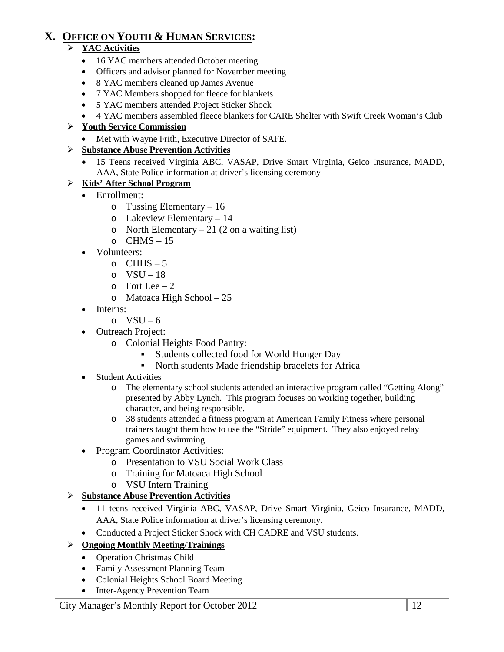# **X. OFFICE ON YOUTH & HUMAN SERVICES:**

# **YAC Activities**

- 16 YAC members attended October meeting
- Officers and advisor planned for November meeting
- 8 YAC members cleaned up James Avenue
- 7 YAC Members shopped for fleece for blankets
- 5 YAC members attended Project Sticker Shock
- 4 YAC members assembled fleece blankets for CARE Shelter with Swift Creek Woman's Club

# **Youth Service Commission**

• Met with Wayne Frith, Executive Director of SAFE.

# **Substance Abuse Prevention Activities**

• 15 Teens received Virginia ABC, VASAP, Drive Smart Virginia, Geico Insurance, MADD, AAA, State Police information at driver's licensing ceremony

# **Kids' After School Program**

- Enrollment:
	- o Tussing Elementary 16
	- o Lakeview Elementary 14
	- o North Elementary  $-21$  (2 on a waiting list)
	- $O$  CHMS 15
- Volunteers:
	- $O$  CHHS 5
	- o  $VSU-18$
	- $\circ$  Fort Lee 2
	- o Matoaca High School 25
- Interns:
	- o  $VSU 6$
- Outreach Project:
	- o Colonial Heights Food Pantry:
		- Students collected food for World Hunger Day
		- North students Made friendship bracelets for Africa
- Student Activities
	- o The elementary school students attended an interactive program called "Getting Along" presented by Abby Lynch. This program focuses on working together, building character, and being responsible.
	- o 38 students attended a fitness program at American Family Fitness where personal trainers taught them how to use the "Stride" equipment. They also enjoyed relay games and swimming.
- Program Coordinator Activities:
	- o Presentation to VSU Social Work Class
	- o Training for Matoaca High School
	- o VSU Intern Training

# **Substance Abuse Prevention Activities**

- 11 teens received Virginia ABC, VASAP, Drive Smart Virginia, Geico Insurance, MADD, AAA, State Police information at driver's licensing ceremony.
- Conducted a Project Sticker Shock with CH CADRE and VSU students.
- **Ongoing Monthly Meeting/Trainings**
	- Operation Christmas Child
	- Family Assessment Planning Team
	- Colonial Heights School Board Meeting
	- Inter-Agency Prevention Team